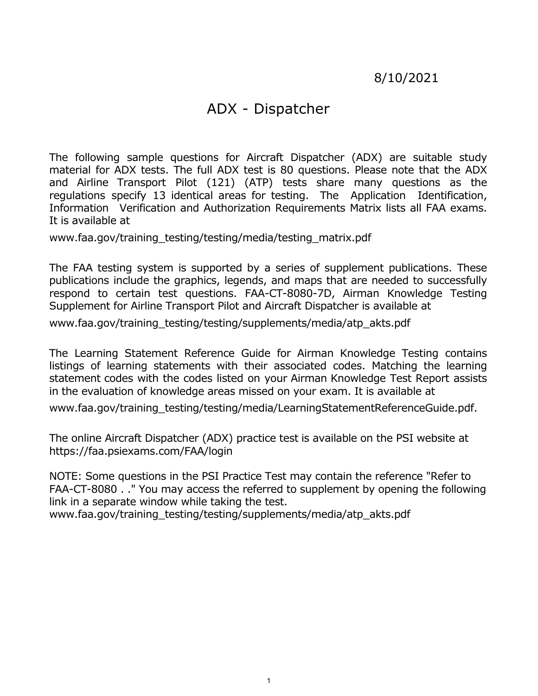## 8/10/2021

# ADX - Dispatcher

 and Airline Transport Pilot (121) (ATP) tests share many questions as the regulations specify 13 identical areas for testing. The Application Identification, The following sample questions for Aircraft Dispatcher (ADX) are suitable study material for ADX tests. The full ADX test is 80 questions. Please note that the ADX Information Verification and Authorization Requirements Matrix lists all FAA exams. It is available at

[www.faa.gov/training\\_testing/testing/media/testing\\_matrix.pdf](www.faa.gov/training_testing/testing/media/testing_matrix.pdf)

 The FAA testing system is supported by a series of supplement publications. These publications include the graphics, legends, and maps that are needed to successfully respond to certain test questions. FAA-CT-8080-7D, Airman Knowledge Testing Supplement for Airline Transport Pilot and Aircraft Dispatcher is available at

[www.faa.gov/training\\_testing/testing/supplements/media/atp\\_akts.pdf](www.faa.gov/training_testing/testing/supplements/media/atp_akts.pdf)

 The Learning Statement Reference Guide for Airman Knowledge Testing contains listings of learning statements with their associated codes. Matching the learning statement codes with the codes listed on your Airman Knowledge Test Report assists in the evaluation of knowledge areas missed on your exam. It is available at

[www.faa.gov/training\\_testing/testing/media/LearningStatementReferenceGuide.pdf.](www.faa.gov/training_testing/testing/media/LearningStatementReferenceGuide.pdf)

 The online Aircraft Dispatcher (ADX) practice test is available on the PSI website at <https://faa.psiexams.com/FAA/login>

NOTE: Some questions in the PSI Practice Test may contain the reference "Refer to FAA-CT-8080 . ." You may access the referred to supplement by opening the following link in a separate window while taking the test.

[www.faa.gov/training\\_testing/testing/supplements/media/atp\\_akts.pdf](www.faa.gov/training_testing/testing/supplements/media/atp_akts.pdf)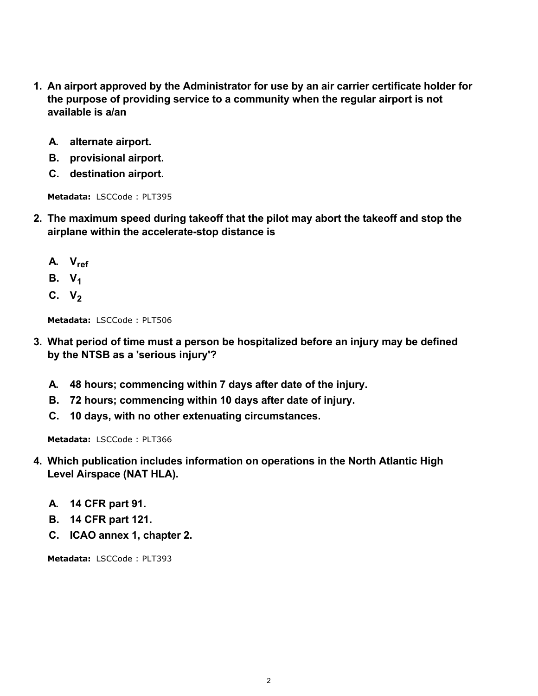- **1. An airport approved by the Administrator for use by an air carrier certificate holder for the purpose of providing service to a community when the regular airport is not available is a/an**
	- **A. alternate airport.**
	- **B. provisional airport.**
	- **C. destination airport.**

- **2. The maximum speed during takeoff that the pilot may abort the takeoff and stop the airplane within the accelerate-stop distance is**
	- **A. Vref**
	- B.  $V_1$
	- **C. V<sup>2</sup>**

**Metadata:** LSCCode : PLT506

- **3. What period of time must a person be hospitalized before an injury may be defined by the NTSB as a 'serious injury'?**
	- **A. 48 hours; commencing within 7 days after date of the injury.**
	- **B. 72 hours; commencing within 10 days after date of injury.**
	- **C. 10 days, with no other extenuating circumstances.**

**Metadata:** LSCCode: PLT366

- **4. Which publication includes information on operations in the North Atlantic High Level Airspace (NAT HLA).**
	- **A. 14 CFR part 91.**
	- **B. 14 CFR part 121.**
	- **C. ICAO annex 1, chapter 2.**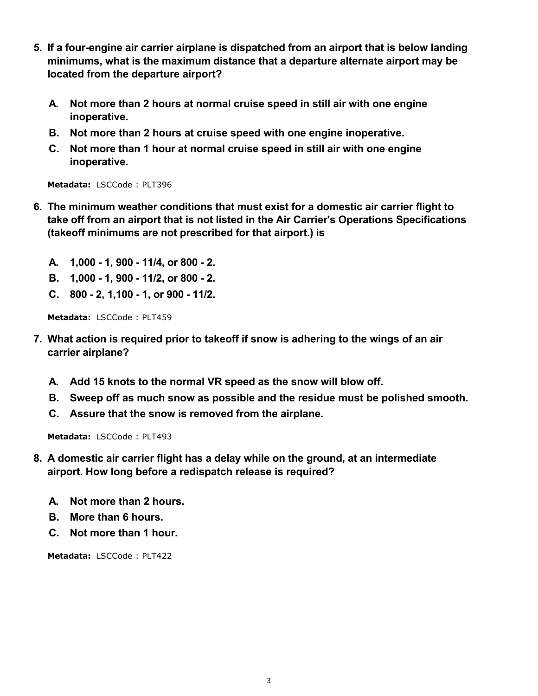- **5. If a four-engine air carrier airplane is dispatched from an airport that is below landing minimums, what is the maximum distance that a departure alternate airport may be located from the departure airport?**
	- **A. Not more than 2 hours at normal cruise speed in still air with one engine inoperative.**
	- **B. Not more than 2 hours at cruise speed with one engine inoperative.**
	- **C. Not more than 1 hour at normal cruise speed in still air with one engine inoperative.**

- **6. The minimum weather conditions that must exist for a domestic air carrier flight to take off from an airport that is not listed in the Air Carrier's Operations Specifications (takeoff minimums are not prescribed for that airport.) is**
	- **A. 1,000 1, 900 11/4, or 800 2.**
	- **B. 1,000 1, 900 11/2, or 800 2.**
	- **C. 800 2, 1,100 1, or 900 11/2.**

**Metadata:** LSCCode : PLT459

- **7. What action is required prior to takeoff if snow is adhering to the wings of an air carrier airplane?**
	- **A. Add 15 knots to the normal VR speed as the snow will blow off.**
	- **B. Sweep off as much snow as possible and the residue must be polished smooth.**
	- **C. Assure that the snow is removed from the airplane.**

**Metadata:** LSCCode : PLT493

- **8. A domestic air carrier flight has a delay while on the ground, at an intermediate airport. How long before a redispatch release is required?**
	- **A. Not more than 2 hours.**
	- **B. More than 6 hours.**
	- **C. Not more than 1 hour.**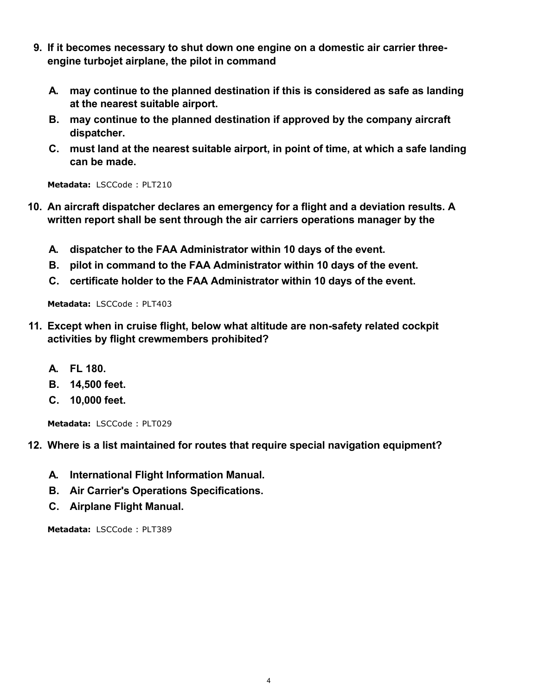- **9. If it becomes necessary to shut down one engine on a domestic air carrier threeengine turbojet airplane, the pilot in command**
	- **A. may continue to the planned destination if this is considered as safe as landing at the nearest suitable airport.**
	- **B. may continue to the planned destination if approved by the company aircraft dispatcher.**
	- **C. must land at the nearest suitable airport, in point of time, at which a safe landing can be made.**

- **10. An aircraft dispatcher declares an emergency for a flight and a deviation results. A written report shall be sent through the air carriers operations manager by the**
	- **A. dispatcher to the FAA Administrator within 10 days of the event.**
	- **B. pilot in command to the FAA Administrator within 10 days of the event.**
	- **C. certificate holder to the FAA Administrator within 10 days of the event.**

**Metadata:** LSCCode : PLT403

- **11. Except when in cruise flight, below what altitude are non-safety related cockpit activities by flight crewmembers prohibited?**
	- **A. FL 180.**
	- **B. 14,500 feet.**
	- **C. 10,000 feet.**

**Metadata:** LSCCode : PLT029

#### **12. Where is a list maintained for routes that require special navigation equipment?**

- **A. International Flight Information Manual.**
- **B. Air Carrier's Operations Specifications.**
- **C. Airplane Flight Manual.**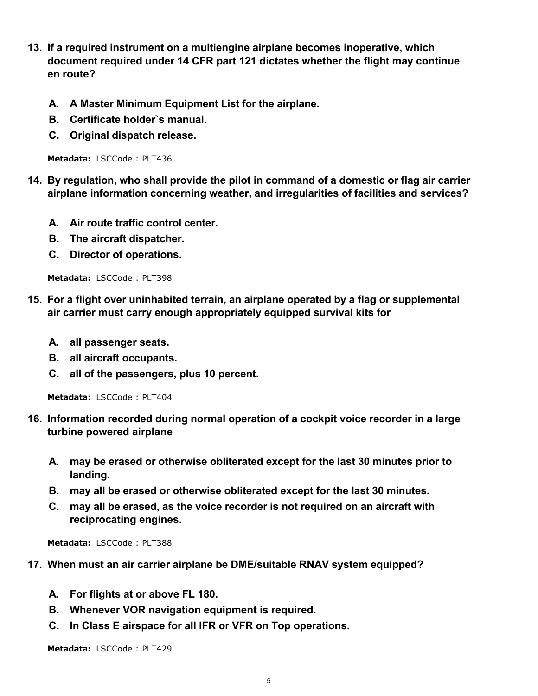- **13. If a required instrument on a multiengine airplane becomes inoperative, which document required under 14 CFR part 121 dictates whether the flight may continue en route?**
	- **A. A Master Minimum Equipment List for the airplane.**
	- **B. Certificate holder`s manual.**
	- **C. Original dispatch release.**

- **14. By regulation, who shall provide the pilot in command of a domestic or flag air carrier airplane information concerning weather, and irregularities of facilities and services?**
	- **A. Air route traffic control center.**
	- **B. The aircraft dispatcher.**
	- **C. Director of operations.**

**Metadata:** LSCCode : PLT398

- **15. For a flight over uninhabited terrain, an airplane operated by a flag or supplemental air carrier must carry enough appropriately equipped survival kits for**
	- **A. all passenger seats.**
	- **B. all aircraft occupants.**
	- **C. all of the passengers, plus 10 percent.**

**Metadata:** LSCCode : PLT404

- **16. Information recorded during normal operation of a cockpit voice recorder in a large turbine powered airplane**
	- **A. may be erased or otherwise obliterated except for the last 30 minutes prior to landing.**
	- **B. may all be erased or otherwise obliterated except for the last 30 minutes.**
	- **C. may all be erased, as the voice recorder is not required on an aircraft with reciprocating engines.**

**Metadata:** LSCCode : PLT388

- **17. When must an air carrier airplane be DME/suitable RNAV system equipped?**
	- **A. For flights at or above FL 180.**
	- **B. Whenever VOR navigation equipment is required.**
	- **C. In Class E airspace for all IFR or VFR on Top operations.**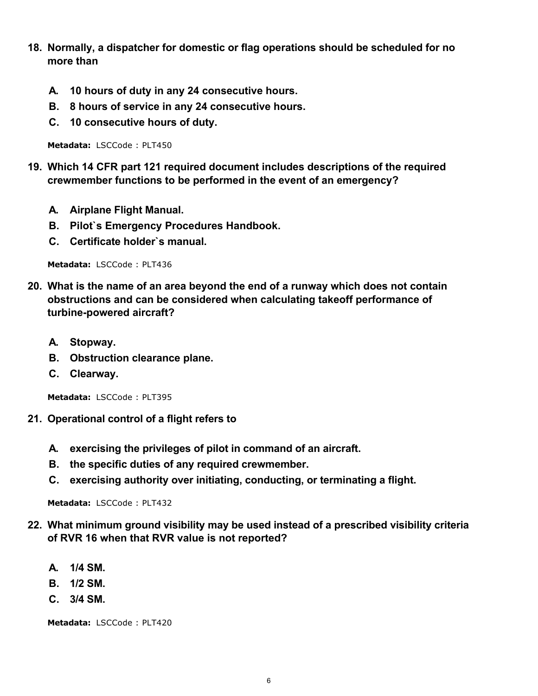- **18. Normally, a dispatcher for domestic or flag operations should be scheduled for no more than**
	- **A. 10 hours of duty in any 24 consecutive hours.**
	- **B. 8 hours of service in any 24 consecutive hours.**
	- **C. 10 consecutive hours of duty.**

- **19. Which 14 CFR part 121 required document includes descriptions of the required crewmember functions to be performed in the event of an emergency?**
	- **A. Airplane Flight Manual.**
	- **B. Pilot`s Emergency Procedures Handbook.**
	- **C. Certificate holder`s manual.**

**Metadata:** LSCCode : PLT436

- **20. What is the name of an area beyond the end of a runway which does not contain obstructions and can be considered when calculating takeoff performance of turbine-powered aircraft?**
	- **A. Stopway.**
	- **B. Obstruction clearance plane.**
	- **C. Clearway.**

**Metadata:** LSCCode : PLT395

- **21. Operational control of a flight refers to**
	- **A. exercising the privileges of pilot in command of an aircraft.**
	- **B. the specific duties of any required crewmember.**
	- **C. exercising authority over initiating, conducting, or terminating a flight.**

**Metadata:** LSCCode : PLT432

- **22. What minimum ground visibility may be used instead of a prescribed visibility criteria of RVR 16 when that RVR value is not reported?**
	- **A. 1/4 SM.**
	- **B. 1/2 SM.**
	- **C. 3/4 SM.**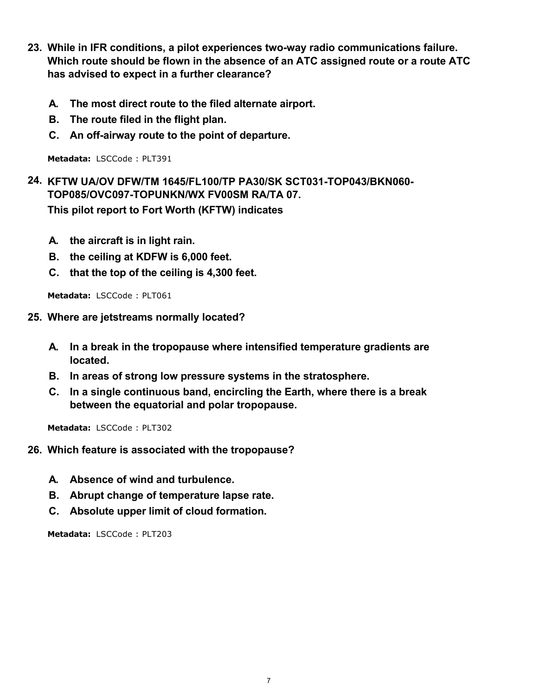- **23. While in IFR conditions, a pilot experiences two-way radio communications failure. Which route should be flown in the absence of an ATC assigned route or a route ATC has advised to expect in a further clearance?**
	- **A. The most direct route to the filed alternate airport.**
	- **B. The route filed in the flight plan.**
	- **C. An off-airway route to the point of departure.**

## **24. KFTW UA/OV DFW/TM 1645/FL100/TP PA30/SK SCT031-TOP043/BKN060- TOP085/OVC097-TOPUNKN/WX FV00SM RA/TA 07. This pilot report to Fort Worth (KFTW) indicates**

- **A. the aircraft is in light rain.**
- **B. the ceiling at KDFW is 6,000 feet.**
- **C. that the top of the ceiling is 4,300 feet.**

**Metadata:** LSCCode : PLT061

- **25. Where are jetstreams normally located?**
	- **A. In a break in the tropopause where intensified temperature gradients are located.**
	- **B. In areas of strong low pressure systems in the stratosphere.**
	- **C. In a single continuous band, encircling the Earth, where there is a break between the equatorial and polar tropopause.**

Metadata: LSCCode: PLT302

- **26. Which feature is associated with the tropopause?**
	- **A. Absence of wind and turbulence.**
	- **B. Abrupt change of temperature lapse rate.**
	- **C. Absolute upper limit of cloud formation.**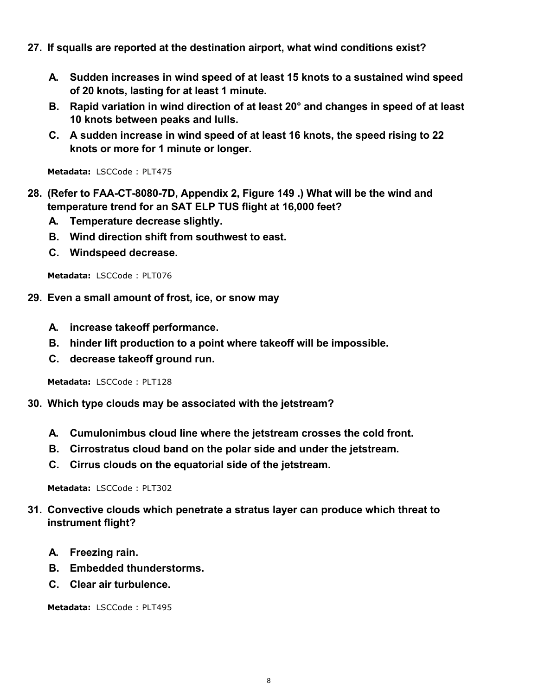- **27. If squalls are reported at the destination airport, what wind conditions exist?**
	- **A. Sudden increases in wind speed of at least 15 knots to a sustained wind speed of 20 knots, lasting for at least 1 minute.**
	- **B. Rapid variation in wind direction of at least 20° and changes in speed of at least 10 knots between peaks and lulls.**
	- **C. A sudden increase in wind speed of at least 16 knots, the speed rising to 22 knots or more for 1 minute or longer.**

- **28. (Refer to FAA-CT-8080-7D, Appendix 2, Figure 149 .) What will be the wind and temperature trend for an SAT ELP TUS flight at 16,000 feet?**
	- **A. Temperature decrease slightly.**
	- **B. Wind direction shift from southwest to east.**
	- **C. Windspeed decrease.**

**Metadata:** LSCCode : PLT076

- **29. Even a small amount of frost, ice, or snow may**
	- **A. increase takeoff performance.**
	- **B. hinder lift production to a point where takeoff will be impossible.**
	- **C. decrease takeoff ground run.**

**Metadata:** LSCCode : PLT128

- **30. Which type clouds may be associated with the jetstream?**
	- **A. Cumulonimbus cloud line where the jetstream crosses the cold front.**
	- **B. Cirrostratus cloud band on the polar side and under the jetstream.**
	- **C. Cirrus clouds on the equatorial side of the jetstream.**

**Metadata:** LSCCode: PLT302

- **31. Convective clouds which penetrate a stratus layer can produce which threat to instrument flight?**
	- **A. Freezing rain.**
	- **B. Embedded thunderstorms.**
	- **C. Clear air turbulence.**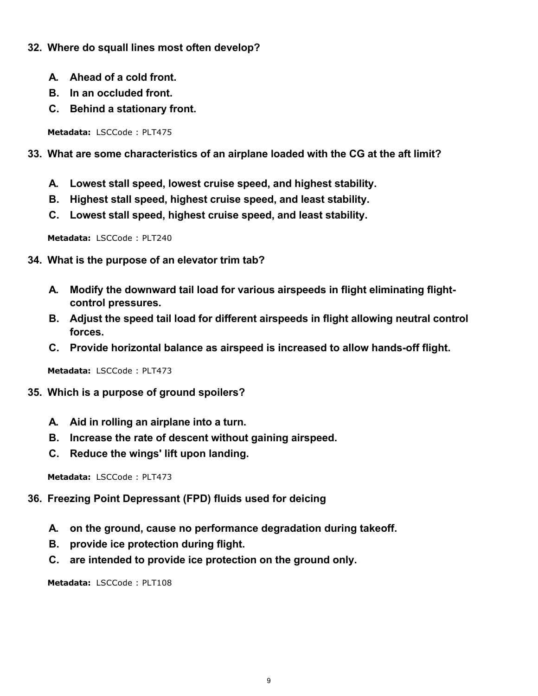- **32. Where do squall lines most often develop?**
	- **A. Ahead of a cold front.**
	- **B. In an occluded front.**
	- **C. Behind a stationary front.**

#### **33. What are some characteristics of an airplane loaded with the CG at the aft limit?**

- **A. Lowest stall speed, lowest cruise speed, and highest stability.**
- **B. Highest stall speed, highest cruise speed, and least stability.**
- **C. Lowest stall speed, highest cruise speed, and least stability.**

**Metadata:** LSCCode : PLT240

- **34. What is the purpose of an elevator trim tab?**
	- **A. Modify the downward tail load for various airspeeds in flight eliminating flightcontrol pressures.**
	- **B. Adjust the speed tail load for different airspeeds in flight allowing neutral control forces.**
	- **C. Provide horizontal balance as airspeed is increased to allow hands-off flight.**

**Metadata:** LSCCode : PLT473

#### **35. Which is a purpose of ground spoilers?**

- **A. Aid in rolling an airplane into a turn.**
- **B. Increase the rate of descent without gaining airspeed.**
- **C. Reduce the wings' lift upon landing.**

**Metadata:** LSCCode : PLT473

### **36. Freezing Point Depressant (FPD) fluids used for deicing**

- **A. on the ground, cause no performance degradation during takeoff.**
- **B. provide ice protection during flight.**
- **C. are intended to provide ice protection on the ground only.**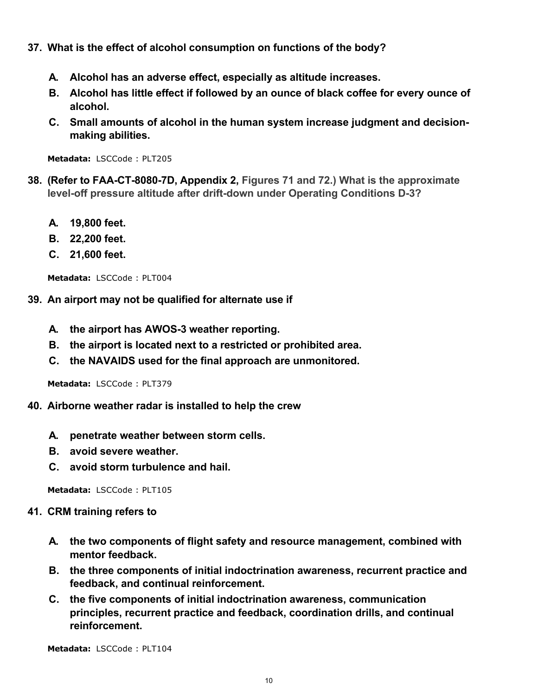- **37. What is the effect of alcohol consumption on functions of the body?**
	- **A. Alcohol has an adverse effect, especially as altitude increases.**
	- **B. Alcohol has little effect if followed by an ounce of black coffee for every ounce of alcohol.**
	- **C. Small amounts of alcohol in the human system increase judgment and decisionmaking abilities.**

- **38. (Refer to FAA-CT-8080-7D, Appendix 2, Figures 71 and 72.) What is the approximate level-off pressure altitude after drift-down under Operating Conditions D-3?** 
	- **A. 19,800 feet.**
	- **B. 22,200 feet.**
	- **C. 21,600 feet.**

**Metadata:** LSCCode : PLT004

- **39. An airport may not be qualified for alternate use if**
	- **A. the airport has AWOS-3 weather reporting.**
	- **B. the airport is located next to a restricted or prohibited area.**
	- **C. the NAVAIDS used for the final approach are unmonitored.**

Metadata: LSCCode: PLT379

- **40. Airborne weather radar is installed to help the crew**
	- **A. penetrate weather between storm cells.**
	- **B. avoid severe weather.**
	- **C. avoid storm turbulence and hail.**

**Metadata:** LSCCode : PLT105

#### **41. CRM training refers to**

- **A. the two components of flight safety and resource management, combined with mentor feedback.**
- **B. the three components of initial indoctrination awareness, recurrent practice and feedback, and continual reinforcement.**
- **C. the five components of initial indoctrination awareness, communication principles, recurrent practice and feedback, coordination drills, and continual reinforcement.**